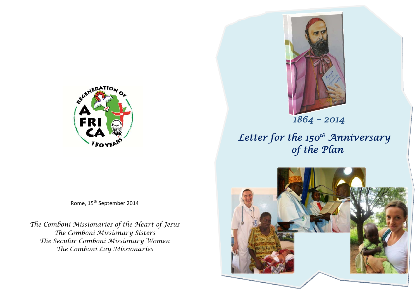

Rome, 15<sup>th</sup> September 2014

*The Comboni Missionaries of the Heart of Jesus The Comboni Missionary Sisters The Secular Comboni Missionary Women The Comboni Lay Missionaries*



*Letter for the 150th Anniversary of the Plan* 

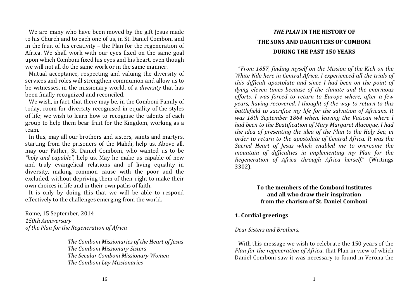We are many who have been moved by the gift lesus made to his Church and to each one of us, in St. Daniel Comboni and in the fruit of his creativity  $-$  the Plan for the regeneration of Africa. We shall work with our eyes fixed on the same goal upon which Comboni fixed his eyes and his heart, even though we will not all do the same work or in the same manner.

Mutual acceptance, respecting and valuing the diversity of services and roles will strengthen communion and allow us to be witnesses, in the missionary world, of a *diversity* that has been finally recognized and reconciled.

We wish, in fact, that there may be, in the Comboni Family of today, room for diversity recognised in equality of the styles of life; we wish to learn how to recognise the talents of each group to help them bear fruit for the Kingdom, working as a team. 

In this, may all our brothers and sisters, saints and martyrs, starting from the prisoners of the Mahdi, help us. Above all, may our Father, St. Daniel Comboni, who wanted us to be "holy *and* capable", help us. May he make us capable of new and truly evangelical relations and of living equality in diversity, making common cause with the poor and the excluded, without depriving them of their right to make their own choices in life and in their own paths of faith.

It is only by doing this that we will be able to respond effectively to the challenges emerging from the world.

Rome, 15 September, 2014 *150th Anniversary of the Plan for the Regeneration of Africa*

> *The Comboni Missionaries of the Heart of Jesus The Comboni Missionary Sisters The Secular Comboni Missionary Women The Comboni Lay Missionaries*

# *THE PLAN* **IN THE HISTORY OF THE SONS AND DAUGHTERS OF COMBONI DURING THE PAST 150 YEARS**

"*From 1857, finding myself on the Mission of the Kich on the White Nile here in Central Africa, I experienced all the trials of this difficult apostolate and since I had been on the point of dying eleven times because of the climate and the enormous efforts, I was forced to return to Europe where, after a few years, having recovered, I thought of the way to return to this battlefield to sacrifice my life for the salvation of Africans. It was 18th September 1864 when, leaving the Vatican where I had been to the Beatification of Mary Margaret Alacoque, I had the idea of presenting the idea of the Plan to the Holy See, in order to return to the apostolate of Central Africa. It was the Sacred Heart of Jesus which enabled me to overcome the mountain of difficulties in implementing my Plan for the Regeneration of Africa through Africa herself*." (Writings 3302). 

# **To the members of the Comboni Institutes and all who draw their inspiration from the charism of St. Daniel Comboni**

# **1. Cordial greetings**

*Dear Sisters and Brothers,*

With this message we wish to celebrate the 150 years of the *Plan for the regeneration of Africa*, that Plan in view of which Daniel Comboni saw it was necessary to found in Verona the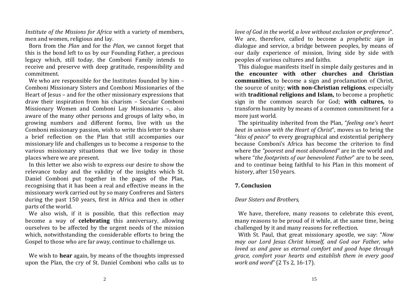*Institute* of *the Missions for Africa* with a variety of members, men and women, religious and lay.

Born from the *Plan* and for the *Plan*, we cannot forget that this is the bond left to us by our Founding Father, a precious legacy which, still today, the Comboni Family intends to receive and preserve with deep gratitude, responsibility and commitment. 

We who are responsible for the Institutes founded by him  $-$ Comboni Missionary Sisters and Comboni Missionaries of the Heart of Jesus – and for the other missionary expressions that draw their inspiration from his charism - Secular Comboni Missionary Women and Comboni Lay Missionaries -, also aware of the many other persons and groups of laity who, in growing numbers and different forms, live with us the Comboni missionary passion, wish to write this letter to share a brief reflection on the Plan that still accompanies our missionary life and challenges us to become a response to the various missionary situations that we live today in those places where we are present.

In this letter we also wish to express our desire to show the relevance today and the validity of the insights which St. Daniel Comboni put together in the pages of the Plan, recognising that it has been a real and effective means in the missionary work carried out by so many Confreres and Sisters during the past 150 years, first in Africa and then in other parts of the world.

We also wish, if it is possible, that this reflection may become a way of **celebrating** this anniversary, allowing ourselves to be affected by the urgent needs of the mission which, notwithstanding the considerable efforts to bring the Gospel to those who are far away, continue to challenge us.

We wish to **hear** again, by means of the thoughts impressed upon the Plan, the cry of St. Daniel Comboni who calls us to

*love of God in the world, <sup>a</sup> love without exclusion or preference*". We are, therefore, called to become a *prophetic sign* in dialogue and service, a bridge between peoples, by means of our daily experience of mission, living side by side with peoples of various cultures and faiths.

This dialogue manifests itself in simple daily gestures and in **the encounter with other churches and Christiancommunities**, to become a sign and proclamation of Christ, the source of unity; **with non-Christian religions**, especially with **traditional religions and Islam,** to become a prophetic sign in the common search for God; with cultures, to transform humanity by means of a common commitment for a more just world.

The spirituality inherited from the Plan, "*feeling one's heart beat in unison with the Heart of Christ*", moves us to bring the "*kiss of peace*" to every geographical and existential periphery because Comboni's Africa has become the criterion to find where the *"poorest and most abandoned"* are in the world and where "*the footprints of our benevolent Father*" are to be seen, and to continue being faithful to his Plan in this moment of history, after 150 years.

## **7. Conclusion**

#### *Dear Sisters and Brothers,*

We have, therefore, many reasons to celebrate this event, many reasons to be proud of it while, at the same time, being challenged by it and many reasons for reflection.

With St. Paul, that great missionary apostle, we say: "*Now may our Lord Jesus Christ himself, and God our Father, who loved us and gave us eternal comfort and good hope through grace, comfort your hearts and establish them in every good work and word*" (2 Ts 2, 16‐17).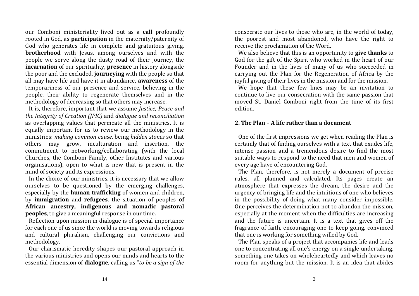our Comboni ministeriality lived out as a **call** profoundly rooted in God, as **participation** in the maternity/paternity of God who generates life in complete and gratuitous giving, **brotherhood** with Jesus, among ourselves and with the people we serve along the dusty road of their journey, the **incarnation** of our spirituality, **presence** in history alongside the poor and the excluded, **journeying** with the people so that all may have life and have it in abundance, **awareness** of the temporariness of our presence and service, believing in the people, their ability to regenerate themselves and in the methodology of decreasing so that others may increase.

It is, therefore, important that we assume *Justice*, *Peace and the Integrity of Creation (JPIC)* and *dialogue and reconciliation* as overlapping values that permeate all the ministries. It is equally important for us to review our methodology in the ministries: *making common cause*, being *hidden stones* so that others may grow, inculturation and insertion, the commitment to networking/collaborating (with the local Churches, the Comboni Family, other Institutes and various organisations), open to what is new that is present in the mind of society and its expressions.

In the choice of our ministries, it is necessary that we allow ourselves to be questioned by the emerging challenges, especially by the **human trafficking** of women and children, by **immigration** and **refugees**, the situation of peoples **of African ancestry, indigenous and nomadic pastoral peoples**, to give a meaningful response in our time.

Reflection upon mission in dialogue is of special importance for each one of us since the world is moving towards religious and cultural pluralism, challenging our convictions and methodology. 

Our charismatic heredity shapes our pastoral approach in the various ministries and opens our minds and hearts to the essential dimension of **dialogue**, calling us "*to be <sup>a</sup> sign of the* consecrate our lives to those who are, in the world of today, the poorest and most abandoned, who have the right to receive the proclamation of the Word.

We also believe that this is an opportunity to **give thanks** to God for the gift of the Spirit who worked in the heart of our Founder and in the lives of many of us who succeeded in carrying out the Plan for the Regeneration of Africa by the joyful giving of their lives in the mission and for the mission.

We hope that these few lines may be an invitation to continue to live our consecration with the same passion that moved St. Daniel Comboni right from the time of its first edition. 

#### **2. The Plan – A life rather than <sup>a</sup> document**

One of the first impressions we get when reading the Plan is certainly that of finding ourselves with a text that exudes life, intense passion and a tremendous desire to find the most suitable ways to respond to the need that men and women of every age have of encountering God.

The Plan, therefore, is not merely a document of precise rules, all planned and calculated. Its pages create an atmosphere that expresses the dream, the desire and the urgency of bringing life and the intuitions of one who believes in the possibility of doing what many consider impossible. One perceives the determination not to abandon the mission, especially at the moment when the difficulties are increasing and the future is uncertain. It is a text that gives off the fragrance of faith, encouraging one to keep going, convinced that one is working for something willed by God.

The Plan speaks of a project that accompanies life and leads one to concentrating all one's energy on a single undertaking, something one takes on wholeheartedly and which leaves no room for anything but the mission. It is an idea that abides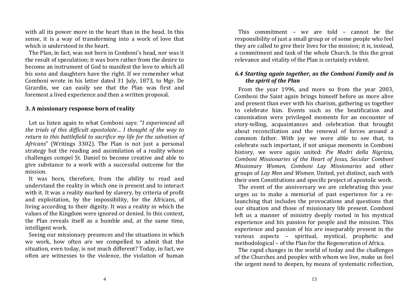with all its power more in the heart than in the head. In this sense, it is a way of transforming into a work of love that which is understood in the heart.

The Plan, in fact, was not born in Comboni's head, nor was it the result of speculation; it was born rather from the desire to become an instrument of God to manifest the love to which all his sons and daughters have the right. If we remember what Comboni wrote in his letter dated 31 July, 1873, to Mgr. De Girardin, we can easily see that the Plan was first and foremost a lived experience and then a written proposal.

#### **3. A missionary response born of reality**

Let us listen again to what Comboni says: "*I experienced all the trials of this difficult apostolate… I thought of the way to return to this battlefield to sacrifice my life for the salvation of* Africans" (Writings 3302). The Plan is not just a personal strategy but the reading and assimilation of a reality whose challenges compel St. Daniel to become creative and able to give substance to a work with a successful outcome for the mission. 

It was born, therefore, from the ability to read and understand the reality in which one is present and to interact with it. It was a reality marked by slavery, by criteria of profit and exploitation, by the impossibility, for the Africans, of living according to their dignity. It was a reality in which the values of the Kingdom were ignored or denied. In this context, the Plan reveals itself as a humble and, at the same time, intelligent work.

Seeing our missionary presences and the situations in which we work, how often are we compelled to admit that the situation, even today, is not much different? Today, in fact, we often are witnesses to the violence, the violation of human

This commitment – we are told – cannot be the responsibility of just a small group or of some people who feel they are called to give their lives for the mission: it is, instead. a commitment and task of the whole Church. In this the great relevance and vitality of the Plan is certainly evident.

# *6.4 Starting again together, as the Comboni Family and in the spirit of the Plan*

From the year 1996, and more so from the year 2003. Comboni the Saint again brings himself before us more alive and present than ever with his charism, gathering us together to celebrate him. Events such as the beatification and canonisation were privileged moments for an encounter of story-telling, acquaintances and celebration that brought about reconciliation and the renewal of forces around a common father. With joy we were able to see that, to celebrate such important, if not unique moments in Comboni history, we were again united: *Pie Madri della Nigrizia, Comboni Missionaries of the Heart of Jesus, Secular Comboni Missionary Women, Comboni Lay Missionaries* and other groups of *Lay Men and Women*. United, yet distinct, each with their own Constitutions and specific project of apostolic work.

The event of the anniversary we are celebrating this year urges us to make a memorial of past experience for a relaunching that includes the provocations and questions that our situation and those of missionary life present. Comboni left us a manner of ministry deeply rooted in his mystical experience and his passion for people and the mission. This experience and passion of his are inseparably present in the various aspects - spiritual, mystical, prophetic and methodological – of the Plan for the Regeneration of Africa.

The rapid changes in the world of today and the challenges of the Churches and peoples with whom we live, make us feel the urgent need to deepen, by means of systematic reflection,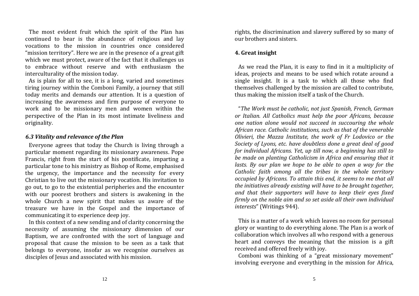The most evident fruit which the spirit of the Plan has continued to bear is the abundance of religious and lay vocations to the mission in countries once considered "mission territory". Here we are in the presence of a great gift which we must protect, aware of the fact that it challenges us to embrace without reserve and with enthusiasm the interculturality of the mission today.

As is plain for all to see, it is a long, varied and sometimes tiring journey within the Comboni Family, a journey that still today merits and demands our attention. It is a question of increasing the awareness and firm purpose of everyone to work and to be missionary men and women within the perspective of the Plan in its most intimate liveliness and originality. 

### *6.3 Vitality and relevance of the Plan*

Everyone agrees that today the Church is living through a particular moment regarding its missionary awareness. Pope Francis, right from the start of his pontificate, imparting a particular tone to his ministry as Bishop of Rome, emphasised the urgency, the importance and the necessity for every Christian to live out the missionary vocation. His invitation to go out, to go to the existential peripheries and the encounter with our poorest brothers and sisters is awakening in the whole Church a new spirit that makes us aware of the treasure we have in the Gospel and the importance of communicating it to experience deep joy.

In this context of a new sending and of clarity concerning the necessity of assuming the missionary dimension of our Baptism, we are confronted with the sort of language and proposal that cause the mission to be seen as a task that belongs to everyone, insofar as we recognise ourselves as disciples of Jesus and associated with his mission.

rights, the discrimination and slavery suffered by so many of our brothers and sisters.

#### **4. Great insight**

As we read the Plan, it is easy to find in it a multiplicity of ideas, projects and means to be used which rotate around a single insight. It is a task to which all those who find themselves challenged by the mission are called to contribute. thus making the mission itself a task of the Church.

"*The Work must be catholic, not just Spanish, French, German or Italian. All Catholics must help the poor Africans, because one nation alone would not succeed in succouring the whole African race. Catholic institutions, such as that of the venerable Olivieri, the Mazza Institute, the work of Fr Lodovico or the Society of Lyons, etc. have doubtless done a grea<sup>t</sup> deal of good for individual Africans. Yet, up till now, a beginning has still to be made on planting Catholicism in Africa and ensuring that it lasts. By our plan we hope to be able to open a way for the Catholic faith among all the tribes in the whole territory occupied by Africans. To attain this end, it seems to me that all the initiatives already existing will have to be brought together, and that their supporters will have to keep their eyes fixed firmly on the noble aim and so set aside all their own individual interests*" (Writings 944).

This is a matter of a work which leaves no room for personal glory or wanting to do everything alone. The Plan is a work of collaboration which involves all who respond with a generous heart and conveys the meaning that the mission is a gift received and offered freely with joy.

Comboni was thinking of a "great missionary movement" involving everyone and everything in the mission for Africa,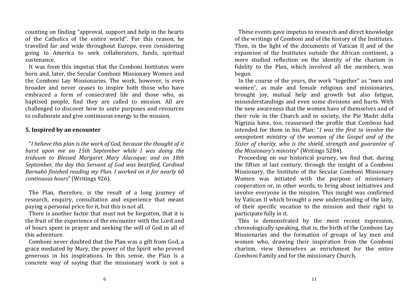counting on finding "approval, support and help in the hearts of the Catholics of the entire world". For this reason, he travelled far and wide throughout Europe, even considering going to America to seek collaborators, funds, spiritual sustenance. 

It was from this impetus that the Comboni Institutes were born and, later, the Secular Comboni Missionary Women and the Comboni Lay Missionaries. The work, however, is even broader and never ceases to inspire both those who have embraced a form of consecrated life and those who, as baptised people, find they are called to mission. All are challenged to discover how to unite purposes and resources to collaborate and give continuous energy to the mission.

#### **5. Inspired by an encounter**

"*I believe this plan is the work of God, because the thought of it burst upon me on 15th September while I was doing the triduum to Blessed Margaret Mary Alacoque; and on 18th September, the day this Servant of God was beatified, Cardinal Barnabò finished reading my Plan. I worked on it for nearly 60 continuous hours*" (Writings 926).

The Plan, therefore, is the result of a long journey of research, enquiry, consultation and experience that meant paying a personal price for it, but this is not all.

There is another factor that must not be forgotten, that it is the fruit of the experience of the encounter with the Lord and of hours spent in prayer and seeking the will of God in all of this adventure.

Comboni never doubted that the Plan was a gift from God, a grace mediated by Mary, the power of the Spirit who proved generous in his inspirations. In this sense, the Plan is a concrete way of saying that the missionary work is not a

These events gave impetus to research and direct knowledge of the writings of Comboni and of the history of the Institutes. Then, in the light of the documents of Vatican II and of the expansion of the Institutes outside the African continent, a more studied reflection on the identity of the charism in fidelity to the Plan, which involved all the members, was begun. 

In the course of the years, the work "together" as "men and women", as male and female religious and missionaries, brought joy, mutual help and growth but also fatigue, misunderstandings and even some divisions and hurts. With the new awareness that the women have of themselves and of their role in the Church and in society, the Pie Madri della Nigrizia have, too, reassessed the profile that Comboni had intended for them in his Plan: "*I was the first to involve the omnipotent ministry of the woman of the Gospel and of the Sister of charity, who is the shield, strength and guarantee of the Missionary's ministry*" (Writings 5284).

Proceeding on our historical journey, we find that, during the fifties of last century, through the insight of a Comboni Missionary, the Institute of the Secular Comboni Missionary Women was initiated with the purpose of missionary cooperation or, in other words, to bring about initiatives and involve everyone in the mission. This insight was confirmed by Vatican II which brought a new understanding of the laity, of their specific vocation to the mission and their right to participate fully in it.

This is demonstrated by the most recent expression, chronologically speaking, that is, the birth of the Comboni Lay Missionaries and the formation of groups of lay men and women who, drawing their inspiration from the Comboni charism, view themselves as enrichment for the entire Comboni Family and for the missionary Church.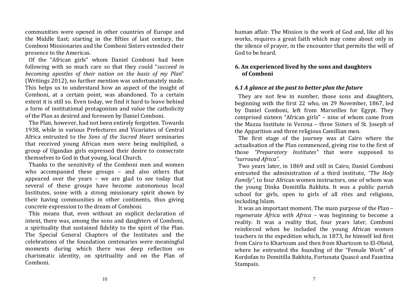communities were opened in other countries of Europe and the Middle East; starting in the fifties of last century, the Comboni Missionaries and the Comboni Sisters extended their presence to the Americas.

Of the "African girls" whom Daniel Comboni had been following with so much care so that they could "succeed in *becoming apostles of their nation on the basis of my Plan*" (Writings 2012), no further mention was unfortunately made. This helps us to understand how an aspect of the insight of Comboni, at a certain point, was abandoned. To a certain extent it is still so. Even today, we find it hard to leave behind a form of institutional protagonism and value the catholicity of the Plan as desired and foreseen by Daniel Comboni.

The Plan, however, had not been entirely forgotten. Towards 1938, while in various Prefectures and Vicariates of Central Africa entrusted to the *Sons of the Sacred Heart* seminaries that received young African men were being multiplied, a group of Ugandan girls expressed their desire to consecrate themselves to God in that young, local Church.

Thanks to the sensitivity of the Comboni men and women who accompanied these groups  $-$  and also others that appeared over the years  $-$  we are glad to see today that several of these groups have become autonomous local Institutes, some with a strong missionary spirit shown by their having communities in other continents, thus giving concrete expression to the dream of Comboni.

This means that, even without an explicit declaration of intent, there was, among the sons and daughters of Comboni, a spirituality that sustained fidelity to the spirit of the Plan. The Special General Chapters of the Institutes and the celebrations of the foundation centenaries were meaningful moments during which there was deep reflection on charismatic identity, on spirituality and on the Plan of Comboni. 

human affair. The Mission is the work of God and, like all his works, requires a great faith which may come about only in the silence of prayer, in the encounter that permits the will of God to be heard.

## **6. An experienced lived by the sons and daughters of Comboni**

## *6.1 A glance at the past to better plan the future*

They are not few in number, those sons and daughters, beginning with the first 22 who, on 29 November, 1867, led by Daniel Comboni, left from Marseilles for Egypt. They comprised sixteen "African girls" – nine of whom came from the Mazza Institute in Verona - three Sisters of St. Joseph of the Apparition and three religious Camillian men.

The first stage of the journey was at Cairo where the actualisation of the Plan commenced, giving rise to the first of those *"Preparatory Institutes"* that were supposed to *"surround Africa"*. 

Two vears later, in 1869 and still in Cairo, Daniel Comboni entrusted the administration of a third institute, "The Holy *Family"*, to four African women instructors, one of whom was the young Dinka Domitilla Bakhita. It was a public parish school for girls, open to girls of all rites and religions, including Islam.

It was an important moment. The main purpose of the Plan – *regenerate Africa with Africa –* was beginning to become <sup>a</sup> reality. It was a reality that, four years later, Comboni reinforced when he included the young African women teachers in the expedition which, in 1873, he himself led first from Cairo to Khartoum and then from Khartoum to El-Obeid. where he entrusted the founding of the "Female Work" of Kordofan to Domitilla Bakhita, Fortunata Quascè and Faustina Stampais.